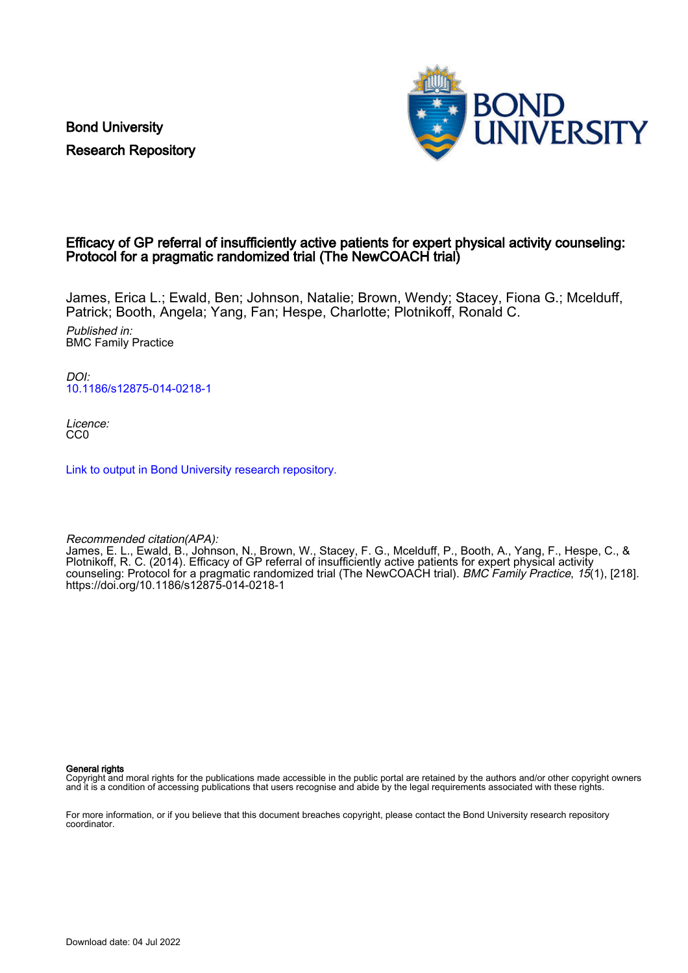Bond University Research Repository



# Efficacy of GP referral of insufficiently active patients for expert physical activity counseling: Protocol for a pragmatic randomized trial (The NewCOACH trial)

James, Erica L.; Ewald, Ben; Johnson, Natalie; Brown, Wendy; Stacey, Fiona G.; Mcelduff, Patrick; Booth, Angela; Yang, Fan; Hespe, Charlotte; Plotnikoff, Ronald C.

Published in: BMC Family Practice

DOI: [10.1186/s12875-014-0218-1](https://doi.org/10.1186/s12875-014-0218-1)

Licence: CC0

[Link to output in Bond University research repository.](https://research.bond.edu.au/en/publications/99d53efe-750a-4a84-a770-5c3cb52ffdd0)

Recommended citation(APA):

James, E. L., Ewald, B., Johnson, N., Brown, W., Stacey, F. G., Mcelduff, P., Booth, A., Yang, F., Hespe, C., & Plotnikoff, R. C. (2014). Efficacy of GP referral of insufficiently active patients for expert physical activity counseling: Protocol for a pragmatic randomized trial (The NewCOACH trial). *BMC Family Practice, 15*(1), [218]. <https://doi.org/10.1186/s12875-014-0218-1>

General rights

Copyright and moral rights for the publications made accessible in the public portal are retained by the authors and/or other copyright owners and it is a condition of accessing publications that users recognise and abide by the legal requirements associated with these rights.

For more information, or if you believe that this document breaches copyright, please contact the Bond University research repository coordinator.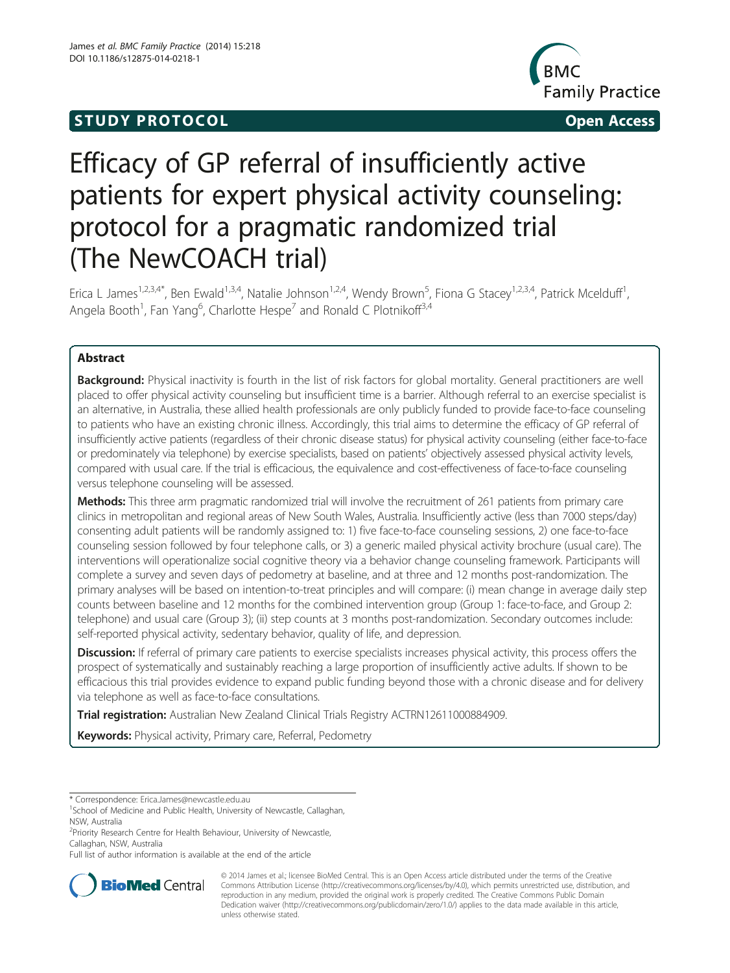# **STUDY PROTOCOL CONSUMING THE STUDY PROTOCOL**



# Efficacy of GP referral of insufficiently active patients for expert physical activity counseling: protocol for a pragmatic randomized trial (The NewCOACH trial)

Erica L James<sup>1,2,3,4\*</sup>, Ben Ewald<sup>1,3,4</sup>, Natalie Johnson<sup>1,2,4</sup>, Wendy Brown<sup>5</sup>, Fiona G Stacey<sup>1,2,3,4</sup>, Patrick Mcelduff<sup>1</sup> , Angela Booth<sup>1</sup>, Fan Yang<sup>6</sup>, Charlotte Hespe<sup>7</sup> and Ronald C Plotnikoff<sup>3,4</sup>

# Abstract

Background: Physical inactivity is fourth in the list of risk factors for global mortality. General practitioners are well placed to offer physical activity counseling but insufficient time is a barrier. Although referral to an exercise specialist is an alternative, in Australia, these allied health professionals are only publicly funded to provide face-to-face counseling to patients who have an existing chronic illness. Accordingly, this trial aims to determine the efficacy of GP referral of insufficiently active patients (regardless of their chronic disease status) for physical activity counseling (either face-to-face or predominately via telephone) by exercise specialists, based on patients' objectively assessed physical activity levels, compared with usual care. If the trial is efficacious, the equivalence and cost-effectiveness of face-to-face counseling versus telephone counseling will be assessed.

Methods: This three arm pragmatic randomized trial will involve the recruitment of 261 patients from primary care clinics in metropolitan and regional areas of New South Wales, Australia. Insufficiently active (less than 7000 steps/day) consenting adult patients will be randomly assigned to: 1) five face-to-face counseling sessions, 2) one face-to-face counseling session followed by four telephone calls, or 3) a generic mailed physical activity brochure (usual care). The interventions will operationalize social cognitive theory via a behavior change counseling framework. Participants will complete a survey and seven days of pedometry at baseline, and at three and 12 months post-randomization. The primary analyses will be based on intention-to-treat principles and will compare: (i) mean change in average daily step counts between baseline and 12 months for the combined intervention group (Group 1: face-to-face, and Group 2: telephone) and usual care (Group 3); (ii) step counts at 3 months post-randomization. Secondary outcomes include: self-reported physical activity, sedentary behavior, quality of life, and depression.

Discussion: If referral of primary care patients to exercise specialists increases physical activity, this process offers the prospect of systematically and sustainably reaching a large proportion of insufficiently active adults. If shown to be efficacious this trial provides evidence to expand public funding beyond those with a chronic disease and for delivery via telephone as well as face-to-face consultations.

Trial registration: Australian New Zealand Clinical Trials Registry [ACTRN12611000884909](https://www.anzctr.org.au/Trial/Registration/TrialReview.aspx?id=343302).

**Keywords:** Physical activity, Primary care, Referral, Pedometry

<sup>2</sup> Priority Research Centre for Health Behaviour, University of Newcastle, Callaghan, NSW, Australia

Full list of author information is available at the end of the article



© 2014 James et al.; licensee BioMed Central. This is an Open Access article distributed under the terms of the Creative Commons Attribution License [\(http://creativecommons.org/licenses/by/4.0\)](http://creativecommons.org/licenses/by/4.0), which permits unrestricted use, distribution, and reproduction in any medium, provided the original work is properly credited. The Creative Commons Public Domain Dedication waiver [\(http://creativecommons.org/publicdomain/zero/1.0/](http://creativecommons.org/publicdomain/zero/1.0/)) applies to the data made available in this article, unless otherwise stated.

<sup>\*</sup> Correspondence: [Erica.James@newcastle.edu.au](mailto:Erica.James@newcastle.edu.au) <sup>1</sup>

<sup>&</sup>lt;sup>1</sup> School of Medicine and Public Health, University of Newcastle, Callaghan, NSW, Australia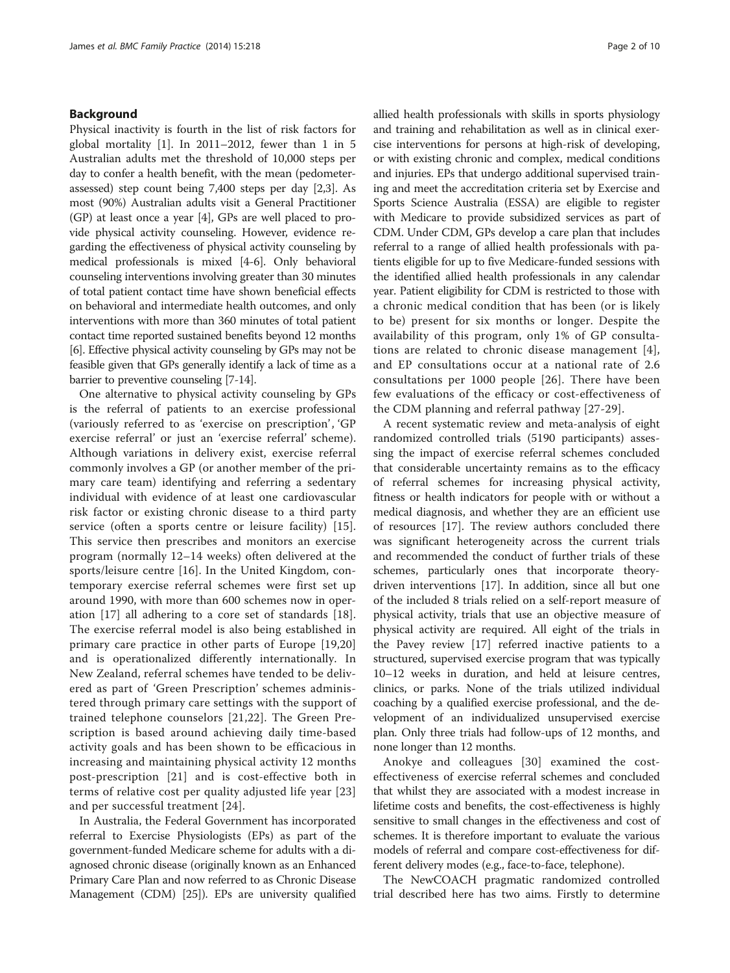## Background

Physical inactivity is fourth in the list of risk factors for global mortality  $[1]$  $[1]$ . In 2011–2012, fewer than 1 in 5 Australian adults met the threshold of 10,000 steps per day to confer a health benefit, with the mean (pedometerassessed) step count being 7,400 steps per day [[2,3](#page-9-0)]. As most (90%) Australian adults visit a General Practitioner (GP) at least once a year [\[4](#page-9-0)], GPs are well placed to provide physical activity counseling. However, evidence regarding the effectiveness of physical activity counseling by medical professionals is mixed [[4-6\]](#page-9-0). Only behavioral counseling interventions involving greater than 30 minutes of total patient contact time have shown beneficial effects on behavioral and intermediate health outcomes, and only interventions with more than 360 minutes of total patient contact time reported sustained benefits beyond 12 months [[6](#page-9-0)]. Effective physical activity counseling by GPs may not be feasible given that GPs generally identify a lack of time as a barrier to preventive counseling [[7](#page-9-0)-[14](#page-9-0)].

One alternative to physical activity counseling by GPs is the referral of patients to an exercise professional (variously referred to as 'exercise on prescription', 'GP exercise referral' or just an 'exercise referral' scheme). Although variations in delivery exist, exercise referral commonly involves a GP (or another member of the primary care team) identifying and referring a sedentary individual with evidence of at least one cardiovascular risk factor or existing chronic disease to a third party service (often a sports centre or leisure facility) [\[15](#page-9-0)]. This service then prescribes and monitors an exercise program (normally 12–14 weeks) often delivered at the sports/leisure centre [[16\]](#page-9-0). In the United Kingdom, contemporary exercise referral schemes were first set up around 1990, with more than 600 schemes now in operation [[17](#page-9-0)] all adhering to a core set of standards [[18](#page-9-0)]. The exercise referral model is also being established in primary care practice in other parts of Europe [[19,20](#page-9-0)] and is operationalized differently internationally. In New Zealand, referral schemes have tended to be delivered as part of 'Green Prescription' schemes administered through primary care settings with the support of trained telephone counselors [[21,22](#page-9-0)]. The Green Prescription is based around achieving daily time-based activity goals and has been shown to be efficacious in increasing and maintaining physical activity 12 months post-prescription [\[21\]](#page-9-0) and is cost-effective both in terms of relative cost per quality adjusted life year [[23](#page-9-0)] and per successful treatment [\[24\]](#page-9-0).

In Australia, the Federal Government has incorporated referral to Exercise Physiologists (EPs) as part of the government-funded Medicare scheme for adults with a diagnosed chronic disease (originally known as an Enhanced Primary Care Plan and now referred to as Chronic Disease Management (CDM) [[25](#page-9-0)]). EPs are university qualified

allied health professionals with skills in sports physiology and training and rehabilitation as well as in clinical exercise interventions for persons at high-risk of developing, or with existing chronic and complex, medical conditions and injuries. EPs that undergo additional supervised training and meet the accreditation criteria set by Exercise and Sports Science Australia (ESSA) are eligible to register with Medicare to provide subsidized services as part of CDM. Under CDM, GPs develop a care plan that includes referral to a range of allied health professionals with patients eligible for up to five Medicare-funded sessions with the identified allied health professionals in any calendar year. Patient eligibility for CDM is restricted to those with a chronic medical condition that has been (or is likely to be) present for six months or longer. Despite the availability of this program, only 1% of GP consultations are related to chronic disease management [[4](#page-9-0)], and EP consultations occur at a national rate of 2.6 consultations per 1000 people [[26](#page-9-0)]. There have been few evaluations of the efficacy or cost-effectiveness of the CDM planning and referral pathway [[27](#page-9-0)-[29](#page-9-0)].

A recent systematic review and meta-analysis of eight randomized controlled trials (5190 participants) assessing the impact of exercise referral schemes concluded that considerable uncertainty remains as to the efficacy of referral schemes for increasing physical activity, fitness or health indicators for people with or without a medical diagnosis, and whether they are an efficient use of resources [[17\]](#page-9-0). The review authors concluded there was significant heterogeneity across the current trials and recommended the conduct of further trials of these schemes, particularly ones that incorporate theorydriven interventions [[17\]](#page-9-0). In addition, since all but one of the included 8 trials relied on a self-report measure of physical activity, trials that use an objective measure of physical activity are required. All eight of the trials in the Pavey review [[17\]](#page-9-0) referred inactive patients to a structured, supervised exercise program that was typically 10–12 weeks in duration, and held at leisure centres, clinics, or parks. None of the trials utilized individual coaching by a qualified exercise professional, and the development of an individualized unsupervised exercise plan. Only three trials had follow-ups of 12 months, and none longer than 12 months.

Anokye and colleagues [[30\]](#page-9-0) examined the costeffectiveness of exercise referral schemes and concluded that whilst they are associated with a modest increase in lifetime costs and benefits, the cost-effectiveness is highly sensitive to small changes in the effectiveness and cost of schemes. It is therefore important to evaluate the various models of referral and compare cost-effectiveness for different delivery modes (e.g., face-to-face, telephone).

The NewCOACH pragmatic randomized controlled trial described here has two aims. Firstly to determine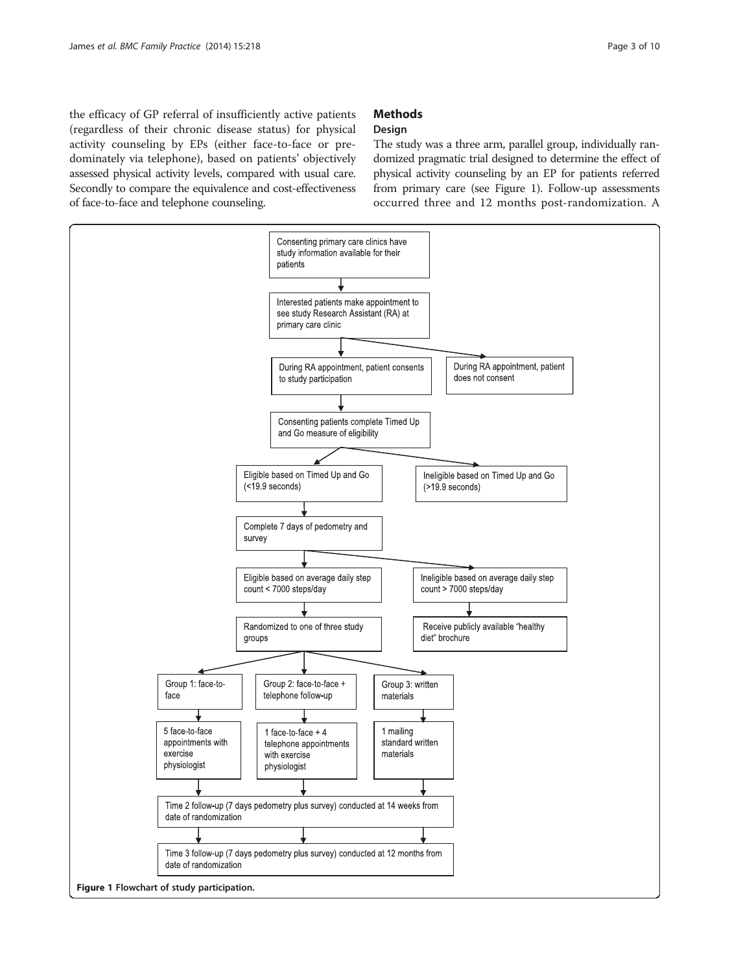the efficacy of GP referral of insufficiently active patients (regardless of their chronic disease status) for physical activity counseling by EPs (either face-to-face or predominately via telephone), based on patients' objectively assessed physical activity levels, compared with usual care. Secondly to compare the equivalence and cost-effectiveness of face-to-face and telephone counseling.

# **Methods**

# Design

The study was a three arm, parallel group, individually randomized pragmatic trial designed to determine the effect of physical activity counseling by an EP for patients referred from primary care (see Figure 1). Follow-up assessments occurred three and 12 months post-randomization. A

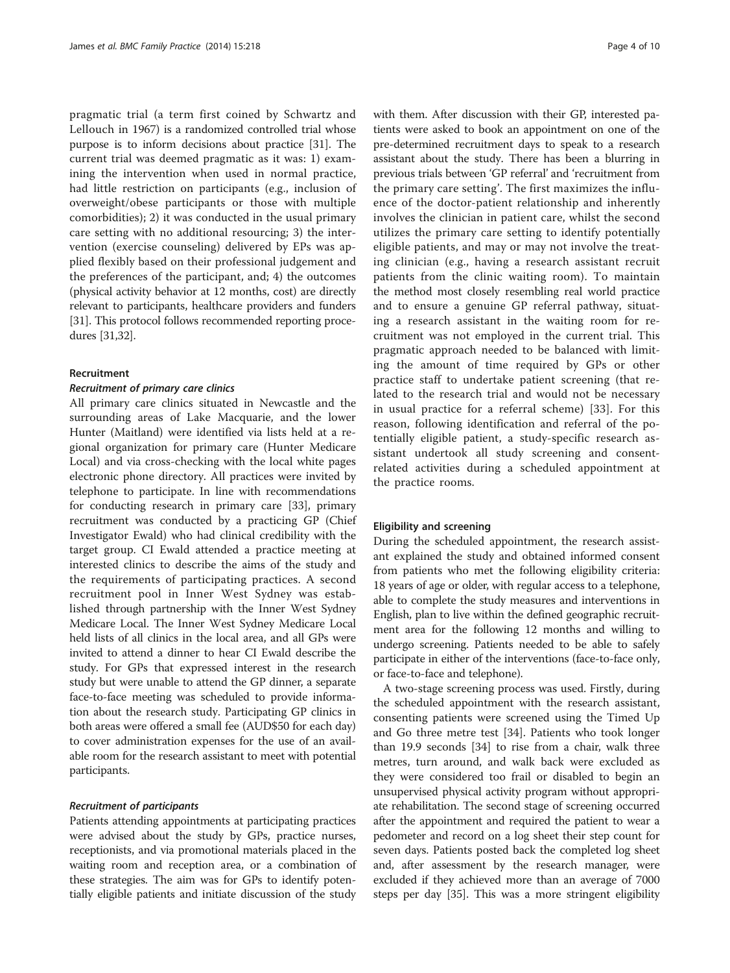pragmatic trial (a term first coined by Schwartz and Lellouch in 1967) is a randomized controlled trial whose purpose is to inform decisions about practice [\[31\]](#page-9-0). The current trial was deemed pragmatic as it was: 1) examining the intervention when used in normal practice, had little restriction on participants (e.g., inclusion of overweight/obese participants or those with multiple comorbidities); 2) it was conducted in the usual primary care setting with no additional resourcing; 3) the intervention (exercise counseling) delivered by EPs was applied flexibly based on their professional judgement and the preferences of the participant, and; 4) the outcomes (physical activity behavior at 12 months, cost) are directly relevant to participants, healthcare providers and funders [[31](#page-9-0)]. This protocol follows recommended reporting procedures [\[31,32\]](#page-9-0).

# Recruitment

#### Recruitment of primary care clinics

All primary care clinics situated in Newcastle and the surrounding areas of Lake Macquarie, and the lower Hunter (Maitland) were identified via lists held at a regional organization for primary care (Hunter Medicare Local) and via cross-checking with the local white pages electronic phone directory. All practices were invited by telephone to participate. In line with recommendations for conducting research in primary care [\[33](#page-9-0)], primary recruitment was conducted by a practicing GP (Chief Investigator Ewald) who had clinical credibility with the target group. CI Ewald attended a practice meeting at interested clinics to describe the aims of the study and the requirements of participating practices. A second recruitment pool in Inner West Sydney was established through partnership with the Inner West Sydney Medicare Local. The Inner West Sydney Medicare Local held lists of all clinics in the local area, and all GPs were invited to attend a dinner to hear CI Ewald describe the study. For GPs that expressed interest in the research study but were unable to attend the GP dinner, a separate face-to-face meeting was scheduled to provide information about the research study. Participating GP clinics in both areas were offered a small fee (AUD\$50 for each day) to cover administration expenses for the use of an available room for the research assistant to meet with potential participants.

### Recruitment of participants

Patients attending appointments at participating practices were advised about the study by GPs, practice nurses, receptionists, and via promotional materials placed in the waiting room and reception area, or a combination of these strategies. The aim was for GPs to identify potentially eligible patients and initiate discussion of the study

with them. After discussion with their GP, interested patients were asked to book an appointment on one of the pre-determined recruitment days to speak to a research assistant about the study. There has been a blurring in previous trials between 'GP referral' and 'recruitment from the primary care setting'. The first maximizes the influence of the doctor-patient relationship and inherently involves the clinician in patient care, whilst the second utilizes the primary care setting to identify potentially eligible patients, and may or may not involve the treating clinician (e.g., having a research assistant recruit patients from the clinic waiting room). To maintain the method most closely resembling real world practice and to ensure a genuine GP referral pathway, situating a research assistant in the waiting room for recruitment was not employed in the current trial. This pragmatic approach needed to be balanced with limiting the amount of time required by GPs or other practice staff to undertake patient screening (that related to the research trial and would not be necessary in usual practice for a referral scheme) [\[33\]](#page-9-0). For this reason, following identification and referral of the potentially eligible patient, a study-specific research assistant undertook all study screening and consentrelated activities during a scheduled appointment at the practice rooms.

#### Eligibility and screening

During the scheduled appointment, the research assistant explained the study and obtained informed consent from patients who met the following eligibility criteria: 18 years of age or older, with regular access to a telephone, able to complete the study measures and interventions in English, plan to live within the defined geographic recruitment area for the following 12 months and willing to undergo screening. Patients needed to be able to safely participate in either of the interventions (face-to-face only, or face-to-face and telephone).

A two-stage screening process was used. Firstly, during the scheduled appointment with the research assistant, consenting patients were screened using the Timed Up and Go three metre test [[34\]](#page-9-0). Patients who took longer than 19.9 seconds [[34\]](#page-9-0) to rise from a chair, walk three metres, turn around, and walk back were excluded as they were considered too frail or disabled to begin an unsupervised physical activity program without appropriate rehabilitation. The second stage of screening occurred after the appointment and required the patient to wear a pedometer and record on a log sheet their step count for seven days. Patients posted back the completed log sheet and, after assessment by the research manager, were excluded if they achieved more than an average of 7000 steps per day [[35](#page-9-0)]. This was a more stringent eligibility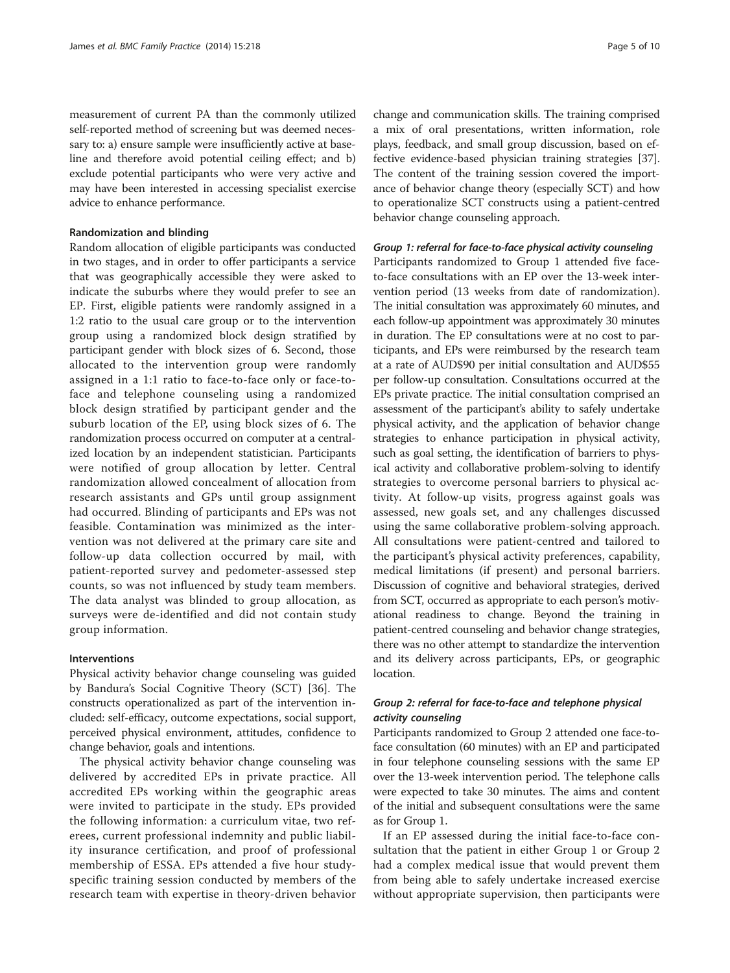measurement of current PA than the commonly utilized self-reported method of screening but was deemed necessary to: a) ensure sample were insufficiently active at baseline and therefore avoid potential ceiling effect; and b) exclude potential participants who were very active and may have been interested in accessing specialist exercise advice to enhance performance.

#### Randomization and blinding

Random allocation of eligible participants was conducted in two stages, and in order to offer participants a service that was geographically accessible they were asked to indicate the suburbs where they would prefer to see an EP. First, eligible patients were randomly assigned in a 1:2 ratio to the usual care group or to the intervention group using a randomized block design stratified by participant gender with block sizes of 6. Second, those allocated to the intervention group were randomly assigned in a 1:1 ratio to face-to-face only or face-toface and telephone counseling using a randomized block design stratified by participant gender and the suburb location of the EP, using block sizes of 6. The randomization process occurred on computer at a centralized location by an independent statistician. Participants were notified of group allocation by letter. Central randomization allowed concealment of allocation from research assistants and GPs until group assignment had occurred. Blinding of participants and EPs was not feasible. Contamination was minimized as the intervention was not delivered at the primary care site and follow-up data collection occurred by mail, with patient-reported survey and pedometer-assessed step counts, so was not influenced by study team members. The data analyst was blinded to group allocation, as surveys were de-identified and did not contain study group information.

## Interventions

Physical activity behavior change counseling was guided by Bandura's Social Cognitive Theory (SCT) [\[36](#page-10-0)]. The constructs operationalized as part of the intervention included: self-efficacy, outcome expectations, social support, perceived physical environment, attitudes, confidence to change behavior, goals and intentions.

The physical activity behavior change counseling was delivered by accredited EPs in private practice. All accredited EPs working within the geographic areas were invited to participate in the study. EPs provided the following information: a curriculum vitae, two referees, current professional indemnity and public liability insurance certification, and proof of professional membership of ESSA. EPs attended a five hour studyspecific training session conducted by members of the research team with expertise in theory-driven behavior

change and communication skills. The training comprised a mix of oral presentations, written information, role plays, feedback, and small group discussion, based on effective evidence-based physician training strategies [[37](#page-10-0)]. The content of the training session covered the importance of behavior change theory (especially SCT) and how to operationalize SCT constructs using a patient-centred behavior change counseling approach.

## Group 1: referral for face-to-face physical activity counseling

Participants randomized to Group 1 attended five faceto-face consultations with an EP over the 13-week intervention period (13 weeks from date of randomization). The initial consultation was approximately 60 minutes, and each follow-up appointment was approximately 30 minutes in duration. The EP consultations were at no cost to participants, and EPs were reimbursed by the research team at a rate of AUD\$90 per initial consultation and AUD\$55 per follow-up consultation. Consultations occurred at the EPs private practice. The initial consultation comprised an assessment of the participant's ability to safely undertake physical activity, and the application of behavior change strategies to enhance participation in physical activity, such as goal setting, the identification of barriers to physical activity and collaborative problem-solving to identify strategies to overcome personal barriers to physical activity. At follow-up visits, progress against goals was assessed, new goals set, and any challenges discussed using the same collaborative problem-solving approach. All consultations were patient-centred and tailored to the participant's physical activity preferences, capability, medical limitations (if present) and personal barriers. Discussion of cognitive and behavioral strategies, derived from SCT, occurred as appropriate to each person's motivational readiness to change. Beyond the training in patient-centred counseling and behavior change strategies, there was no other attempt to standardize the intervention and its delivery across participants, EPs, or geographic location.

# Group 2: referral for face-to-face and telephone physical activity counseling

Participants randomized to Group 2 attended one face-toface consultation (60 minutes) with an EP and participated in four telephone counseling sessions with the same EP over the 13-week intervention period. The telephone calls were expected to take 30 minutes. The aims and content of the initial and subsequent consultations were the same as for Group 1.

If an EP assessed during the initial face-to-face consultation that the patient in either Group 1 or Group 2 had a complex medical issue that would prevent them from being able to safely undertake increased exercise without appropriate supervision, then participants were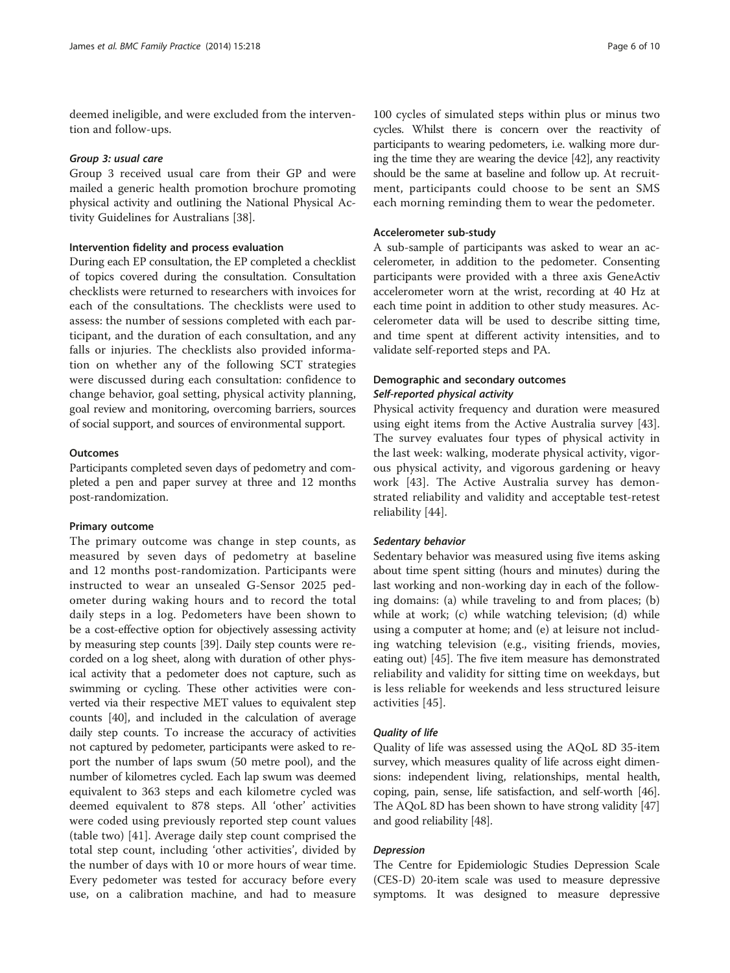deemed ineligible, and were excluded from the intervention and follow-ups.

#### Group 3: usual care

Group 3 received usual care from their GP and were mailed a generic health promotion brochure promoting physical activity and outlining the National Physical Activity Guidelines for Australians [\[38\]](#page-10-0).

# Intervention fidelity and process evaluation

During each EP consultation, the EP completed a checklist of topics covered during the consultation. Consultation checklists were returned to researchers with invoices for each of the consultations. The checklists were used to assess: the number of sessions completed with each participant, and the duration of each consultation, and any falls or injuries. The checklists also provided information on whether any of the following SCT strategies were discussed during each consultation: confidence to change behavior, goal setting, physical activity planning, goal review and monitoring, overcoming barriers, sources of social support, and sources of environmental support.

### **Outcomes**

Participants completed seven days of pedometry and completed a pen and paper survey at three and 12 months post-randomization.

# Primary outcome

The primary outcome was change in step counts, as measured by seven days of pedometry at baseline and 12 months post-randomization. Participants were instructed to wear an unsealed G-Sensor 2025 pedometer during waking hours and to record the total daily steps in a log. Pedometers have been shown to be a cost-effective option for objectively assessing activity by measuring step counts [\[39\]](#page-10-0). Daily step counts were recorded on a log sheet, along with duration of other physical activity that a pedometer does not capture, such as swimming or cycling. These other activities were converted via their respective MET values to equivalent step counts [\[40](#page-10-0)], and included in the calculation of average daily step counts. To increase the accuracy of activities not captured by pedometer, participants were asked to report the number of laps swum (50 metre pool), and the number of kilometres cycled. Each lap swum was deemed equivalent to 363 steps and each kilometre cycled was deemed equivalent to 878 steps. All 'other' activities were coded using previously reported step count values (table two) [[41\]](#page-10-0). Average daily step count comprised the total step count, including 'other activities', divided by the number of days with 10 or more hours of wear time. Every pedometer was tested for accuracy before every use, on a calibration machine, and had to measure 100 cycles of simulated steps within plus or minus two cycles. Whilst there is concern over the reactivity of participants to wearing pedometers, i.e. walking more during the time they are wearing the device [\[42\]](#page-10-0), any reactivity should be the same at baseline and follow up. At recruitment, participants could choose to be sent an SMS each morning reminding them to wear the pedometer.

#### Accelerometer sub-study

A sub-sample of participants was asked to wear an accelerometer, in addition to the pedometer. Consenting participants were provided with a three axis GeneActiv accelerometer worn at the wrist, recording at 40 Hz at each time point in addition to other study measures. Accelerometer data will be used to describe sitting time, and time spent at different activity intensities, and to validate self-reported steps and PA.

# Demographic and secondary outcomes Self-reported physical activity

Physical activity frequency and duration were measured using eight items from the Active Australia survey [\[43](#page-10-0)]. The survey evaluates four types of physical activity in the last week: walking, moderate physical activity, vigorous physical activity, and vigorous gardening or heavy work [[43\]](#page-10-0). The Active Australia survey has demonstrated reliability and validity and acceptable test-retest reliability [[44\]](#page-10-0).

#### Sedentary behavior

Sedentary behavior was measured using five items asking about time spent sitting (hours and minutes) during the last working and non-working day in each of the following domains: (a) while traveling to and from places; (b) while at work; (c) while watching television; (d) while using a computer at home; and (e) at leisure not including watching television (e.g., visiting friends, movies, eating out) [[45](#page-10-0)]. The five item measure has demonstrated reliability and validity for sitting time on weekdays, but is less reliable for weekends and less structured leisure activities [[45](#page-10-0)].

# Quality of life

Quality of life was assessed using the AQoL 8D 35-item survey, which measures quality of life across eight dimensions: independent living, relationships, mental health, coping, pain, sense, life satisfaction, and self-worth [[46](#page-10-0)]. The AQoL 8D has been shown to have strong validity [[47](#page-10-0)] and good reliability [\[48\]](#page-10-0).

#### Depression

The Centre for Epidemiologic Studies Depression Scale (CES-D) 20-item scale was used to measure depressive symptoms. It was designed to measure depressive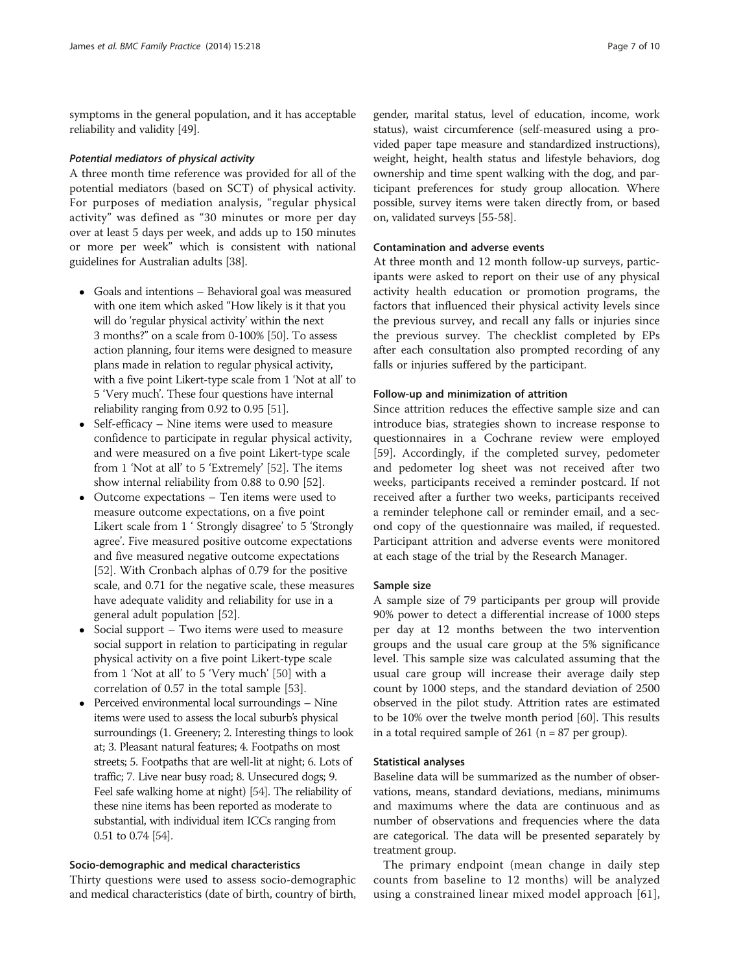symptoms in the general population, and it has acceptable reliability and validity [\[49\]](#page-10-0).

# Potential mediators of physical activity

A three month time reference was provided for all of the potential mediators (based on SCT) of physical activity. For purposes of mediation analysis, "regular physical activity" was defined as "30 minutes or more per day over at least 5 days per week, and adds up to 150 minutes or more per week" which is consistent with national guidelines for Australian adults [\[38\]](#page-10-0).

- Goals and intentions Behavioral goal was measured with one item which asked "How likely is it that you will do 'regular physical activity' within the next 3 months?" on a scale from 0-100% [\[50\]](#page-10-0). To assess action planning, four items were designed to measure plans made in relation to regular physical activity, with a five point Likert-type scale from 1 'Not at all' to 5 'Very much'. These four questions have internal reliability ranging from 0.92 to 0.95 [\[51](#page-10-0)].
- Self-efficacy Nine items were used to measure confidence to participate in regular physical activity, and were measured on a five point Likert-type scale from 1 'Not at all' to 5 'Extremely' [[52\]](#page-10-0). The items show internal reliability from 0.88 to 0.90 [\[52\]](#page-10-0).
- Outcome expectations Ten items were used to measure outcome expectations, on a five point Likert scale from 1 ' Strongly disagree' to 5 'Strongly agree'. Five measured positive outcome expectations and five measured negative outcome expectations [[52](#page-10-0)]. With Cronbach alphas of 0.79 for the positive scale, and 0.71 for the negative scale, these measures have adequate validity and reliability for use in a general adult population [\[52\]](#page-10-0).
- Social support Two items were used to measure social support in relation to participating in regular physical activity on a five point Likert-type scale from 1 'Not at all' to 5 'Very much' [\[50\]](#page-10-0) with a correlation of 0.57 in the total sample [\[53\]](#page-10-0).
- Perceived environmental local surroundings Nine items were used to assess the local suburb's physical surroundings (1. Greenery; 2. Interesting things to look at; 3. Pleasant natural features; 4. Footpaths on most streets; 5. Footpaths that are well-lit at night; 6. Lots of traffic; 7. Live near busy road; 8. Unsecured dogs; 9. Feel safe walking home at night) [\[54\]](#page-10-0). The reliability of these nine items has been reported as moderate to substantial, with individual item ICCs ranging from 0.51 to 0.74 [\[54](#page-10-0)].

#### Socio-demographic and medical characteristics

Thirty questions were used to assess socio-demographic and medical characteristics (date of birth, country of birth,

gender, marital status, level of education, income, work status), waist circumference (self-measured using a provided paper tape measure and standardized instructions), weight, height, health status and lifestyle behaviors, dog ownership and time spent walking with the dog, and participant preferences for study group allocation. Where possible, survey items were taken directly from, or based on, validated surveys [\[55-58](#page-10-0)].

# Contamination and adverse events

At three month and 12 month follow-up surveys, participants were asked to report on their use of any physical activity health education or promotion programs, the factors that influenced their physical activity levels since the previous survey, and recall any falls or injuries since the previous survey. The checklist completed by EPs after each consultation also prompted recording of any falls or injuries suffered by the participant.

#### Follow-up and minimization of attrition

Since attrition reduces the effective sample size and can introduce bias, strategies shown to increase response to questionnaires in a Cochrane review were employed [[59\]](#page-10-0). Accordingly, if the completed survey, pedometer and pedometer log sheet was not received after two weeks, participants received a reminder postcard. If not received after a further two weeks, participants received a reminder telephone call or reminder email, and a second copy of the questionnaire was mailed, if requested. Participant attrition and adverse events were monitored at each stage of the trial by the Research Manager.

# Sample size

A sample size of 79 participants per group will provide 90% power to detect a differential increase of 1000 steps per day at 12 months between the two intervention groups and the usual care group at the 5% significance level. This sample size was calculated assuming that the usual care group will increase their average daily step count by 1000 steps, and the standard deviation of 2500 observed in the pilot study. Attrition rates are estimated to be 10% over the twelve month period [[60](#page-10-0)]. This results in a total required sample of 261 ( $n = 87$  per group).

#### Statistical analyses

Baseline data will be summarized as the number of observations, means, standard deviations, medians, minimums and maximums where the data are continuous and as number of observations and frequencies where the data are categorical. The data will be presented separately by treatment group.

The primary endpoint (mean change in daily step counts from baseline to 12 months) will be analyzed using a constrained linear mixed model approach [[61](#page-10-0)],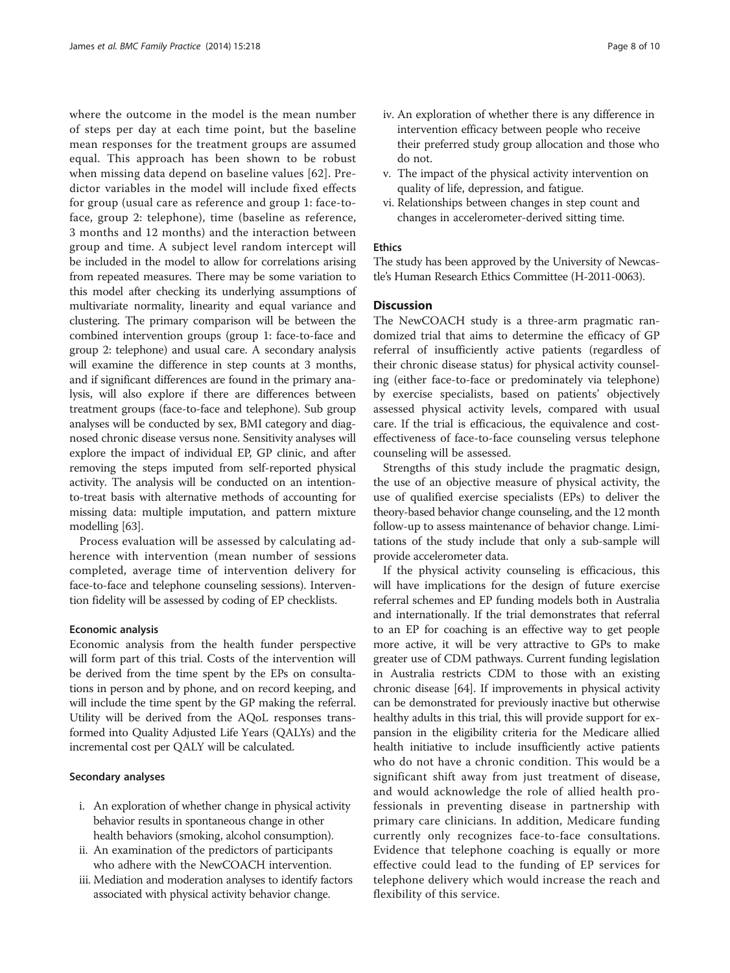where the outcome in the model is the mean number of steps per day at each time point, but the baseline mean responses for the treatment groups are assumed equal. This approach has been shown to be robust when missing data depend on baseline values [\[62](#page-10-0)]. Predictor variables in the model will include fixed effects for group (usual care as reference and group 1: face-toface, group 2: telephone), time (baseline as reference, 3 months and 12 months) and the interaction between group and time. A subject level random intercept will be included in the model to allow for correlations arising from repeated measures. There may be some variation to this model after checking its underlying assumptions of multivariate normality, linearity and equal variance and clustering. The primary comparison will be between the combined intervention groups (group 1: face-to-face and group 2: telephone) and usual care. A secondary analysis will examine the difference in step counts at 3 months, and if significant differences are found in the primary analysis, will also explore if there are differences between treatment groups (face-to-face and telephone). Sub group analyses will be conducted by sex, BMI category and diagnosed chronic disease versus none. Sensitivity analyses will explore the impact of individual EP, GP clinic, and after removing the steps imputed from self-reported physical activity. The analysis will be conducted on an intentionto-treat basis with alternative methods of accounting for missing data: multiple imputation, and pattern mixture modelling [\[63\]](#page-10-0).

Process evaluation will be assessed by calculating adherence with intervention (mean number of sessions completed, average time of intervention delivery for face-to-face and telephone counseling sessions). Intervention fidelity will be assessed by coding of EP checklists.

## Economic analysis

Economic analysis from the health funder perspective will form part of this trial. Costs of the intervention will be derived from the time spent by the EPs on consultations in person and by phone, and on record keeping, and will include the time spent by the GP making the referral. Utility will be derived from the AQoL responses transformed into Quality Adjusted Life Years (QALYs) and the incremental cost per QALY will be calculated.

#### Secondary analyses

- i. An exploration of whether change in physical activity behavior results in spontaneous change in other health behaviors (smoking, alcohol consumption).
- ii. An examination of the predictors of participants who adhere with the NewCOACH intervention.
- iii. Mediation and moderation analyses to identify factors associated with physical activity behavior change.
- iv. An exploration of whether there is any difference in intervention efficacy between people who receive their preferred study group allocation and those who do not.
- v. The impact of the physical activity intervention on quality of life, depression, and fatigue.
- vi. Relationships between changes in step count and changes in accelerometer-derived sitting time.

# Ethics

The study has been approved by the University of Newcastle's Human Research Ethics Committee (H-2011-0063).

# **Discussion**

The NewCOACH study is a three-arm pragmatic randomized trial that aims to determine the efficacy of GP referral of insufficiently active patients (regardless of their chronic disease status) for physical activity counseling (either face-to-face or predominately via telephone) by exercise specialists, based on patients' objectively assessed physical activity levels, compared with usual care. If the trial is efficacious, the equivalence and costeffectiveness of face-to-face counseling versus telephone counseling will be assessed.

Strengths of this study include the pragmatic design, the use of an objective measure of physical activity, the use of qualified exercise specialists (EPs) to deliver the theory-based behavior change counseling, and the 12 month follow-up to assess maintenance of behavior change. Limitations of the study include that only a sub-sample will provide accelerometer data.

If the physical activity counseling is efficacious, this will have implications for the design of future exercise referral schemes and EP funding models both in Australia and internationally. If the trial demonstrates that referral to an EP for coaching is an effective way to get people more active, it will be very attractive to GPs to make greater use of CDM pathways. Current funding legislation in Australia restricts CDM to those with an existing chronic disease [\[64](#page-10-0)]. If improvements in physical activity can be demonstrated for previously inactive but otherwise healthy adults in this trial, this will provide support for expansion in the eligibility criteria for the Medicare allied health initiative to include insufficiently active patients who do not have a chronic condition. This would be a significant shift away from just treatment of disease, and would acknowledge the role of allied health professionals in preventing disease in partnership with primary care clinicians. In addition, Medicare funding currently only recognizes face-to-face consultations. Evidence that telephone coaching is equally or more effective could lead to the funding of EP services for telephone delivery which would increase the reach and flexibility of this service.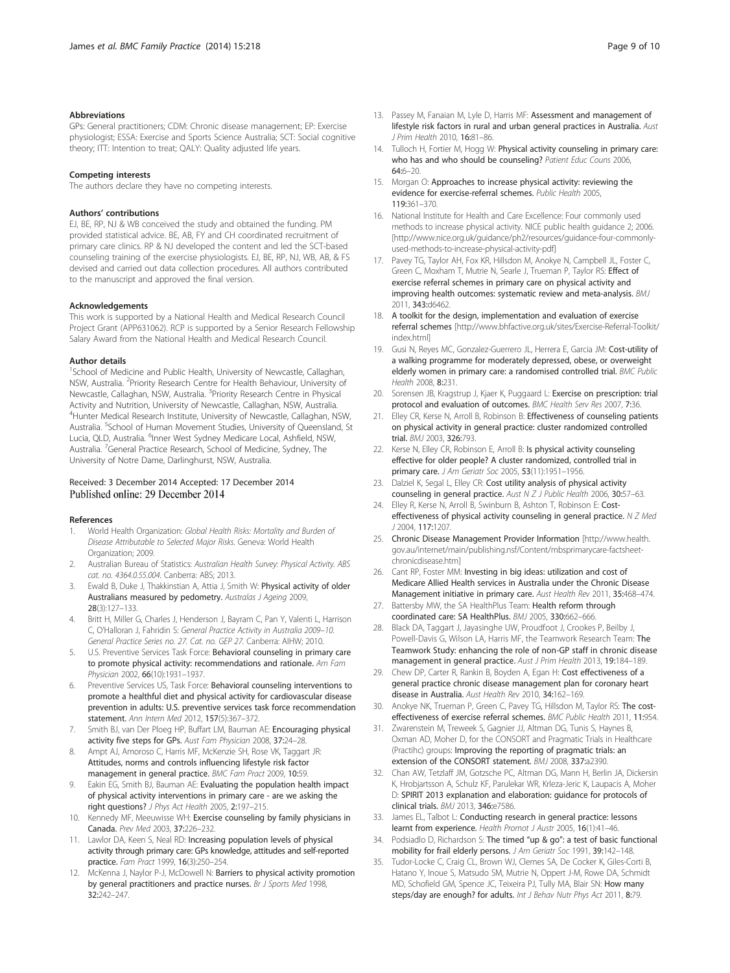#### <span id="page-9-0"></span>**Abbreviations**

GPs: General practitioners; CDM: Chronic disease management; EP: Exercise physiologist; ESSA: Exercise and Sports Science Australia; SCT: Social cognitive theory; ITT: Intention to treat; QALY: Quality adjusted life years.

#### Competing interests

The authors declare they have no competing interests.

#### Authors' contributions

EJ, BE, RP, NJ & WB conceived the study and obtained the funding. PM provided statistical advice. BE, AB, FY and CH coordinated recruitment of primary care clinics. RP & NJ developed the content and led the SCT-based counseling training of the exercise physiologists. EJ, BE, RP, NJ, WB, AB, & FS devised and carried out data collection procedures. All authors contributed to the manuscript and approved the final version.

#### Acknowledgements

This work is supported by a National Health and Medical Research Council Project Grant (APP631062). RCP is supported by a Senior Research Fellowship Salary Award from the National Health and Medical Research Council.

#### Author details

<sup>1</sup>School of Medicine and Public Health, University of Newcastle, Callaghan, NSW, Australia. <sup>2</sup>Priority Research Centre for Health Behaviour, University of Newcastle, Callaghan, NSW, Australia. <sup>3</sup>Priority Research Centre in Physical Activity and Nutrition, University of Newcastle, Callaghan, NSW, Australia. 4 Hunter Medical Research Institute, University of Newcastle, Callaghan, NSW, Australia. <sup>5</sup>School of Human Movement Studies, University of Queensland, St Lucia, QLD, Australia. <sup>6</sup>Inner West Sydney Medicare Local, Ashfield, NSW, Australia. <sup>7</sup>General Practice Research, School of Medicine, Sydney, The University of Notre Dame, Darlinghurst, NSW, Australia.

## Received: 3 December 2014 Accepted: 17 December 2014 Published online: 29 December 2014

#### References

- World Health Organization: Global Health Risks: Mortality and Burden of Disease Attributable to Selected Major Risks. Geneva: World Health Organization; 2009.
- 2. Australian Bureau of Statistics: Australian Health Survey: Physical Activity. ABS cat. no. 4364.0.55.004. Canberra: ABS; 2013.
- 3. Ewald B, Duke J, Thakkinstian A, Attia J, Smith W: Physical activity of older Australians measured by pedometry. Australas J Ageing 2009, 28(3):127–133.
- Britt H, Miller G, Charles J, Henderson J, Bayram C, Pan Y, Valenti L, Harrison C, O'Halloran J, Fahridin S: General Practice Activity in Australia 2009–10. General Practice Series no. 27. Cat. no. GEP 27. Canberra: AIHW; 2010.
- 5. U.S. Preventive Services Task Force: Behavioral counseling in primary care to promote physical activity: recommendations and rationale. Am Fam Physician 2002, 66(10):1931–1937.
- 6. Preventive Services US, Task Force: Behavioral counseling interventions to promote a healthful diet and physical activity for cardiovascular disease prevention in adults: U.S. preventive services task force recommendation statement. Ann Intern Med 2012, 157(5):367–372.
- 7. Smith BJ, van Der Ploeg HP, Buffart LM, Bauman AE: Encouraging physical activity five steps for GPs. Aust Fam Physician 2008, 37:24–28.
- Ampt AJ, Amoroso C, Harris MF, McKenzie SH, Rose VK, Taggart JR: Attitudes, norms and controls influencing lifestyle risk factor management in general practice. BMC Fam Pract 2009, 10:59.
- Eakin EG, Smith BJ, Bauman AE: Evaluating the population health impact of physical activity interventions in primary care - are we asking the right questions? J Phys Act Health 2005, 2:197–215.
- 10. Kennedy MF, Meeuwisse WH: Exercise counseling by family physicians in Canada. Prev Med 2003, 37:226–232.
- 11. Lawlor DA, Keen S, Neal RD: Increasing population levels of physical activity through primary care: GPs knowledge, attitudes and self-reported practice. Fam Pract 1999, 16(3):250–254.
- 12. McKenna J, Naylor P-J, McDowell N: Barriers to physical activity promotion by general practitioners and practice nurses. Br J Sports Med 1998, 32:242–247.
- 13. Passey M, Fanaian M, Lyle D, Harris MF: Assessment and management of lifestyle risk factors in rural and urban general practices in Australia. Aust J Prim Health 2010, 16:81–86.
- 14. Tulloch H, Fortier M, Hogg W: Physical activity counseling in primary care: who has and who should be counseling? Patient Educ Couns 2006, 64:6–20.
- 15. Morgan O: Approaches to increase physical activity: reviewing the evidence for exercise-referral schemes. Public Health 2005, 119:361–370.
- 16. National Institute for Health and Care Excellence: Four commonly used methods to increase physical activity. NICE public health guidance 2; 2006. [[http://www.nice.org.uk/guidance/ph2/resources/guidance-four-commonly](http://www.nice.org.uk/guidance/ph2/resources/guidance-four-commonly-used-methods-to-increase-physical-activity-pdf)[used-methods-to-increase-physical-activity-pdf](http://www.nice.org.uk/guidance/ph2/resources/guidance-four-commonly-used-methods-to-increase-physical-activity-pdf)]
- 17. Pavey TG, Taylor AH, Fox KR, Hillsdon M, Anokye N, Campbell JL, Foster C, Green C, Moxham T, Mutrie N, Searle J, Trueman P, Taylor RS: Effect of exercise referral schemes in primary care on physical activity and improving health outcomes: systematic review and meta-analysis. BMJ 2011, 343:d6462
- 18. A toolkit for the design, implementation and evaluation of exercise referral schemes [[http://www.bhfactive.org.uk/sites/Exercise-Referral-Toolkit/](http://www.bhfactive.org.uk/sites/Exercise-Referral-Toolkit/index.html) [index.html\]](http://www.bhfactive.org.uk/sites/Exercise-Referral-Toolkit/index.html)
- 19. Gusi N, Reyes MC, Gonzalez-Guerrero JL, Herrera E, Garcia JM: Cost-utility of a walking programme for moderately depressed, obese, or overweight elderly women in primary care: a randomised controlled trial. BMC Public Health 2008, 8:231.
- 20. Sorensen JB, Kragstrup J, Kjaer K, Puggaard L: Exercise on prescription: trial protocol and evaluation of outcomes. BMC Health Serv Res 2007, 7:36.
- 21. Elley CR, Kerse N, Arroll B, Robinson B: Effectiveness of counseling patients on physical activity in general practice: cluster randomized controlled trial. BMJ 2003, 326:793.
- 22. Kerse N, Elley CR, Robinson E, Arroll B: Is physical activity counseling effective for older people? A cluster randomized, controlled trial in primary care. J Am Geriatr Soc 2005, 53(11):1951–1956.
- 23. Dalziel K, Segal L, Elley CR: Cost utility analysis of physical activity counseling in general practice. Aust N Z J Public Health 2006, 30:57-63.
- 24. Elley R, Kerse N, Arroll B, Swinburn B, Ashton T, Robinson E: Costeffectiveness of physical activity counseling in general practice. N Z Med J 2004, 117:1207.
- 25. Chronic Disease Management Provider Information [\[http://www.health.](http://www.health.gov.au/internet/main/publishing.nsf/Content/mbsprimarycare-factsheet-chronicdisease.htm) [gov.au/internet/main/publishing.nsf/Content/mbsprimarycare-factsheet](http://www.health.gov.au/internet/main/publishing.nsf/Content/mbsprimarycare-factsheet-chronicdisease.htm)[chronicdisease.htm](http://www.health.gov.au/internet/main/publishing.nsf/Content/mbsprimarycare-factsheet-chronicdisease.htm)]
- 26. Cant RP, Foster MM: Investing in big ideas: utilization and cost of Medicare Allied Health services in Australia under the Chronic Disease Management initiative in primary care. Aust Health Rev 2011, 35:468–474.
- 27. Battersby MW, the SA HealthPlus Team: Health reform through coordinated care: SA HealthPlus. BMJ 2005, 330:662–666.
- 28. Black DA, Taggart J, Jayasinghe UW, Proudfoot J, Crookes P, Beilby J, Powell-Davis G, Wilson LA, Harris MF, the Teamwork Research Team: The Teamwork Study: enhancing the role of non-GP staff in chronic disease management in general practice. Aust J Prim Health 2013, 19:184-189.
- 29. Chew DP, Carter R, Rankin B, Boyden A, Egan H: Cost effectiveness of a general practice chronic disease management plan for coronary heart disease in Australia. Aust Health Rev 2010, 34:162–169.
- Anokye NK, Trueman P, Green C, Pavey TG, Hillsdon M, Taylor RS: The costeffectiveness of exercise referral schemes. BMC Public Health 2011, 11:954.
- 31. Zwarenstein M, Treweek S, Gagnier JJ, Altman DG, Tunis S, Haynes B, Oxman AD, Moher D, for the CONSORT and Pragmatic Trials in Healthcare (Practihc) groups: Improving the reporting of pragmatic trials: an extension of the CONSORT statement. BMJ 2008, 337:a2390.
- 32. Chan AW, Tetzlaff JM, Gotzsche PC, Altman DG, Mann H, Berlin JA, Dickersin K, Hrobjartsson A, Schulz KF, Parulekar WR, Krleza-Jeric K, Laupacis A, Moher D: SPIRIT 2013 explanation and elaboration: guidance for protocols of clinical trials. BMJ 2013, 346:e7586.
- 33. James EL, Talbot L: Conducting research in general practice: lessons learnt from experience. Health Promot J Austr 2005, 16(1):41-46.
- 34. Podsiadlo D, Richardson S: The timed "up & go": a test of basic functional mobility for frail elderly persons. J Am Geriatr Soc 1991, 39:142-148.
- 35. Tudor-Locke C, Craig CL, Brown WJ, Clemes SA, De Cocker K, Giles-Corti B, Hatano Y, Inoue S, Matsudo SM, Mutrie N, Oppert J-M, Rowe DA, Schmidt MD, Schofield GM, Spence JC, Teixeira PJ, Tully MA, Blair SN: How many steps/day are enough? for adults. Int J Behav Nutr Phys Act 2011, 8:79.